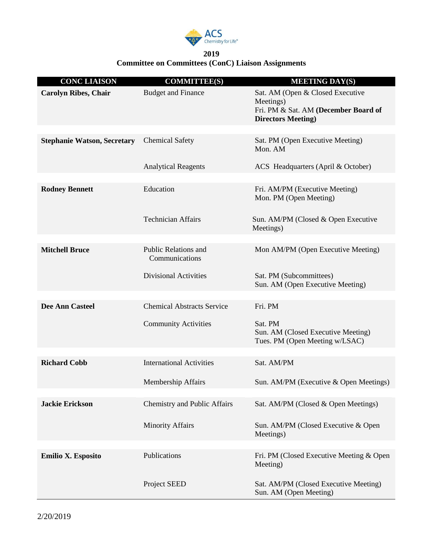

## **2019 Committee on Committees (ConC) Liaison Assignments**

| <b>CONC LIAISON</b>                | <b>COMMITTEE(S)</b>                           | <b>MEETING DAY(S)</b>                                                                                              |
|------------------------------------|-----------------------------------------------|--------------------------------------------------------------------------------------------------------------------|
| <b>Carolyn Ribes, Chair</b>        | <b>Budget and Finance</b>                     | Sat. AM (Open & Closed Executive<br>Meetings)<br>Fri. PM & Sat. AM (December Board of<br><b>Directors Meeting)</b> |
|                                    |                                               |                                                                                                                    |
| <b>Stephanie Watson, Secretary</b> | <b>Chemical Safety</b>                        | Sat. PM (Open Executive Meeting)<br>Mon. AM                                                                        |
|                                    | <b>Analytical Reagents</b>                    | ACS Headquarters (April & October)                                                                                 |
|                                    |                                               |                                                                                                                    |
| <b>Rodney Bennett</b>              | Education                                     | Fri. AM/PM (Executive Meeting)<br>Mon. PM (Open Meeting)                                                           |
|                                    | <b>Technician Affairs</b>                     | Sun. AM/PM (Closed & Open Executive<br>Meetings)                                                                   |
|                                    |                                               |                                                                                                                    |
| <b>Mitchell Bruce</b>              | <b>Public Relations and</b><br>Communications | Mon AM/PM (Open Executive Meeting)                                                                                 |
|                                    | <b>Divisional Activities</b>                  | Sat. PM (Subcommittees)<br>Sun. AM (Open Executive Meeting)                                                        |
|                                    |                                               |                                                                                                                    |
| <b>Dee Ann Casteel</b>             | <b>Chemical Abstracts Service</b>             | Fri. PM                                                                                                            |
|                                    | <b>Community Activities</b>                   | Sat. PM<br>Sun. AM (Closed Executive Meeting)<br>Tues. PM (Open Meeting w/LSAC)                                    |
|                                    |                                               |                                                                                                                    |
| <b>Richard Cobb</b>                | <b>International Activities</b>               | Sat. AM/PM                                                                                                         |
|                                    | <b>Membership Affairs</b>                     | Sun. AM/PM (Executive & Open Meetings)                                                                             |
| <b>Jackie Erickson</b>             | Chemistry and Public Affairs                  | Sat. AM/PM (Closed & Open Meetings)                                                                                |
|                                    | <b>Minority Affairs</b>                       | Sun. AM/PM (Closed Executive & Open<br>Meetings)                                                                   |
|                                    |                                               |                                                                                                                    |
| Emilio X. Esposito                 | Publications                                  | Fri. PM (Closed Executive Meeting & Open<br>Meeting)                                                               |
|                                    | Project SEED                                  | Sat. AM/PM (Closed Executive Meeting)<br>Sun. AM (Open Meeting)                                                    |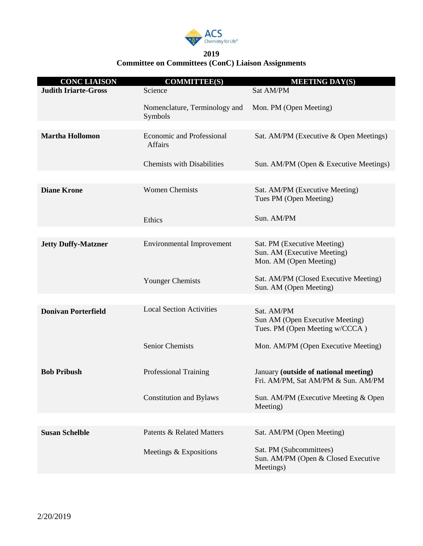

## **2019 Committee on Committees (ConC) Liaison Assignments**

| <b>CONC LIAISON</b>         | <b>COMMITTEE(S)</b>                                | <b>MEETING DAY(S)</b>                                                                |
|-----------------------------|----------------------------------------------------|--------------------------------------------------------------------------------------|
| <b>Judith Iriarte-Gross</b> | Science                                            | Sat AM/PM                                                                            |
|                             | Nomenclature, Terminology and<br>Symbols           | Mon. PM (Open Meeting)                                                               |
|                             |                                                    |                                                                                      |
| <b>Martha Hollomon</b>      | <b>Economic and Professional</b><br><b>Affairs</b> | Sat. AM/PM (Executive & Open Meetings)                                               |
|                             | <b>Chemists with Disabilities</b>                  | Sun. AM/PM (Open & Executive Meetings)                                               |
|                             |                                                    |                                                                                      |
| <b>Diane Krone</b>          | <b>Women Chemists</b>                              | Sat. AM/PM (Executive Meeting)<br>Tues PM (Open Meeting)                             |
|                             | Ethics                                             | Sun. AM/PM                                                                           |
|                             |                                                    |                                                                                      |
| <b>Jetty Duffy-Matzner</b>  | <b>Environmental Improvement</b>                   | Sat. PM (Executive Meeting)<br>Sun. AM (Executive Meeting)<br>Mon. AM (Open Meeting) |
|                             | <b>Younger Chemists</b>                            | Sat. AM/PM (Closed Executive Meeting)<br>Sun. AM (Open Meeting)                      |
|                             |                                                    |                                                                                      |
| <b>Donivan Porterfield</b>  | <b>Local Section Activities</b>                    | Sat. AM/PM<br>Sun AM (Open Executive Meeting)<br>Tues. PM (Open Meeting w/CCCA)      |
|                             | <b>Senior Chemists</b>                             | Mon. AM/PM (Open Executive Meeting)                                                  |
| <b>Bob Pribush</b>          | <b>Professional Training</b>                       | January (outside of national meeting)<br>Fri. AM/PM, Sat AM/PM & Sun. AM/PM          |
|                             | <b>Constitution and Bylaws</b>                     | Sun. AM/PM (Executive Meeting & Open<br>Meeting)                                     |
|                             |                                                    |                                                                                      |
| <b>Susan Schelble</b>       | <b>Patents &amp; Related Matters</b>               | Sat. AM/PM (Open Meeting)                                                            |
|                             | Meetings & Expositions                             | Sat. PM (Subcommittees)<br>Sun. AM/PM (Open & Closed Executive<br>Meetings)          |